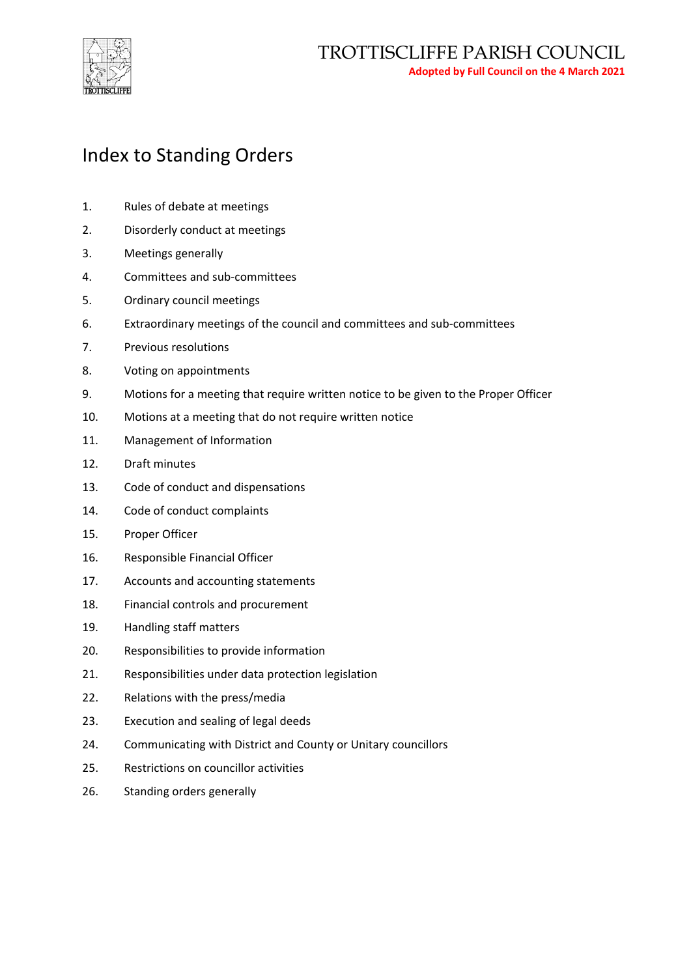

## Index to Standing Orders

- 1. Rules of debate at meetings
- 2. Disorderly conduct at meetings
- 3. Meetings generally
- 4. Committees and sub-committees
- 5. Ordinary council meetings
- 6. Extraordinary meetings of the council and committees and sub-committees
- 7. Previous resolutions
- 8. Voting on appointments
- 9. Motions for a meeting that require written notice to be given to the Proper Officer
- 10. Motions at a meeting that do not require written notice
- 11. Management of Information
- 12. Draft minutes
- 13. Code of conduct and dispensations
- 14. Code of conduct complaints
- 15. Proper Officer
- 16. Responsible Financial Officer
- 17. Accounts and accounting statements
- 18. Financial controls and procurement
- 19. Handling staff matters
- 20. Responsibilities to provide information
- 21. Responsibilities under data protection legislation
- 22. Relations with the press/media
- 23. Execution and sealing of legal deeds
- 24. Communicating with District and County or Unitary councillors
- 25. Restrictions on councillor activities
- 26. Standing orders generally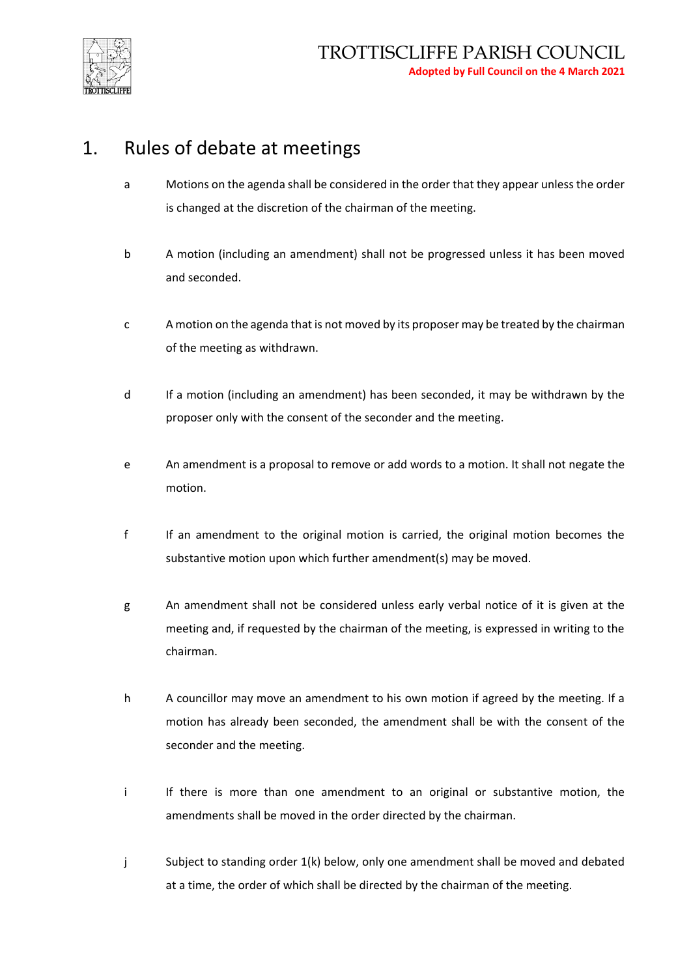

#### 1. Rules of debate at meetings

- a Motions on the agenda shall be considered in the order that they appear unless the order is changed at the discretion of the chairman of the meeting.
- b A motion (including an amendment) shall not be progressed unless it has been moved and seconded.
- c A motion on the agenda that is not moved by its proposer may be treated by the chairman of the meeting as withdrawn.
- d If a motion (including an amendment) has been seconded, it may be withdrawn by the proposer only with the consent of the seconder and the meeting.
- e An amendment is a proposal to remove or add words to a motion. It shall not negate the motion.
- f If an amendment to the original motion is carried, the original motion becomes the substantive motion upon which further amendment(s) may be moved.
- g An amendment shall not be considered unless early verbal notice of it is given at the meeting and, if requested by the chairman of the meeting, is expressed in writing to the chairman.
- h A councillor may move an amendment to his own motion if agreed by the meeting. If a motion has already been seconded, the amendment shall be with the consent of the seconder and the meeting.
- i If there is more than one amendment to an original or substantive motion, the amendments shall be moved in the order directed by the chairman.
- j Subject to standing order 1(k) below, only one amendment shall be moved and debated at a time, the order of which shall be directed by the chairman of the meeting.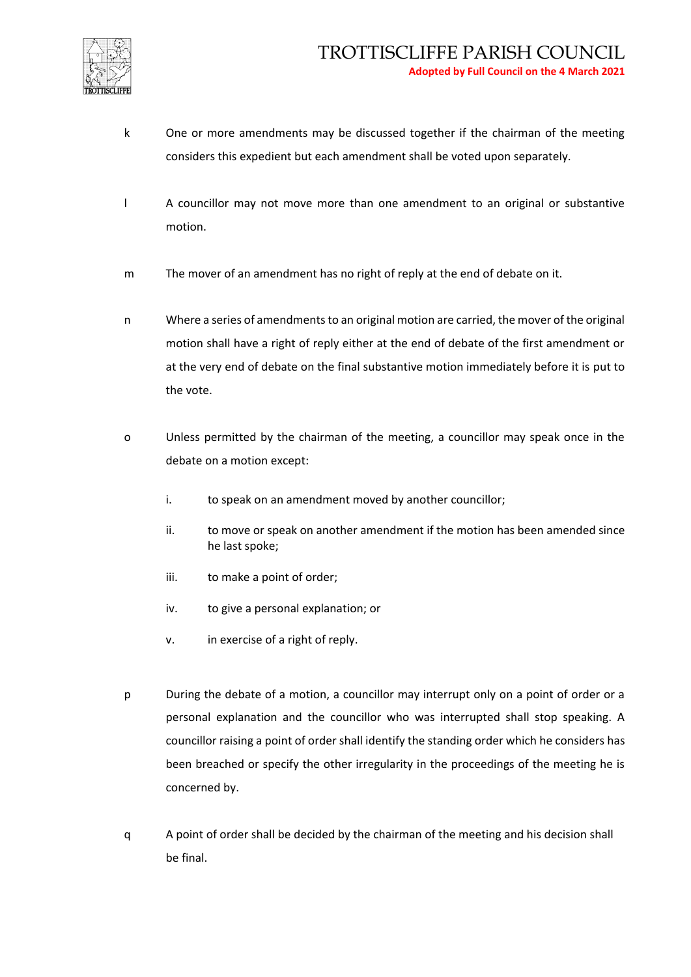

- k One or more amendments may be discussed together if the chairman of the meeting considers this expedient but each amendment shall be voted upon separately.
- l A councillor may not move more than one amendment to an original or substantive motion.
- m The mover of an amendment has no right of reply at the end of debate on it.
- n Where a series of amendments to an original motion are carried, the mover of the original motion shall have a right of reply either at the end of debate of the first amendment or at the very end of debate on the final substantive motion immediately before it is put to the vote.
- o Unless permitted by the chairman of the meeting, a councillor may speak once in the debate on a motion except:
	- i. to speak on an amendment moved by another councillor;
	- ii. to move or speak on another amendment if the motion has been amended since he last spoke;
	- iii. to make a point of order;
	- iv. to give a personal explanation; or
	- v. in exercise of a right of reply.
- p During the debate of a motion, a councillor may interrupt only on a point of order or a personal explanation and the councillor who was interrupted shall stop speaking. A councillor raising a point of order shall identify the standing order which he considers has been breached or specify the other irregularity in the proceedings of the meeting he is concerned by.
- q A point of order shall be decided by the chairman of the meeting and his decision shall be final.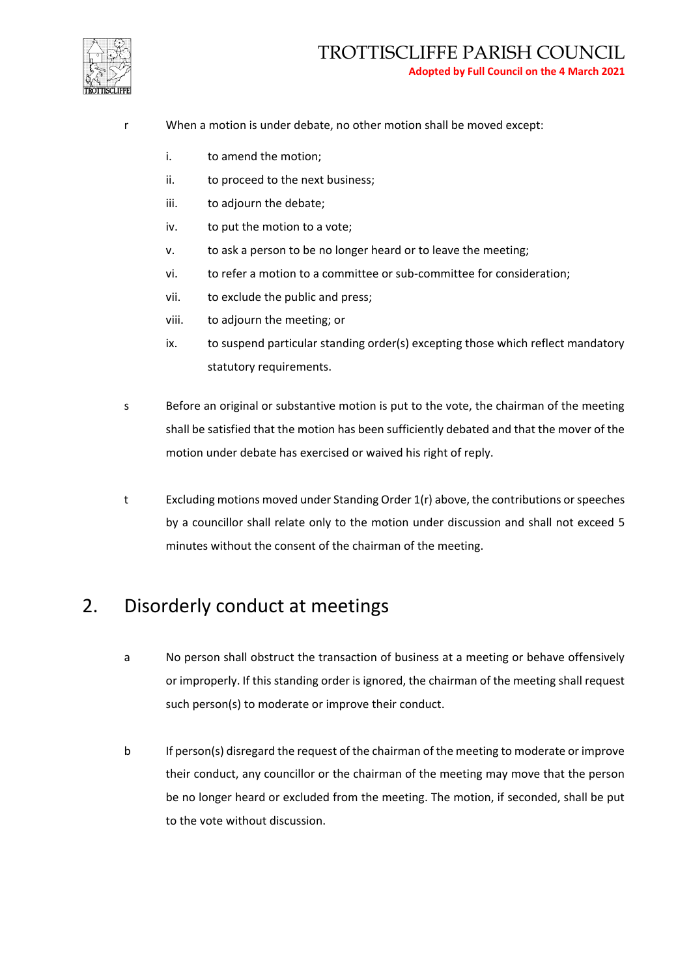

- r When a motion is under debate, no other motion shall be moved except:
	- i. to amend the motion;
	- ii. to proceed to the next business;
	- iii. to adjourn the debate;
	- iv. to put the motion to a vote;
	- v. to ask a person to be no longer heard or to leave the meeting;
	- vi. to refer a motion to a committee or sub-committee for consideration;
	- vii. to exclude the public and press;
	- viii. to adjourn the meeting; or
	- ix. to suspend particular standing order(s) excepting those which reflect mandatory statutory requirements.
- s Before an original or substantive motion is put to the vote, the chairman of the meeting shall be satisfied that the motion has been sufficiently debated and that the mover of the motion under debate has exercised or waived his right of reply.
- t Excluding motions moved under Standing Order 1(r) above, the contributions or speeches by a councillor shall relate only to the motion under discussion and shall not exceed 5 minutes without the consent of the chairman of the meeting.

#### 2. Disorderly conduct at meetings

- a No person shall obstruct the transaction of business at a meeting or behave offensively or improperly. If this standing order is ignored, the chairman of the meeting shall request such person(s) to moderate or improve their conduct.
- b If person(s) disregard the request of the chairman of the meeting to moderate or improve their conduct, any councillor or the chairman of the meeting may move that the person be no longer heard or excluded from the meeting. The motion, if seconded, shall be put to the vote without discussion.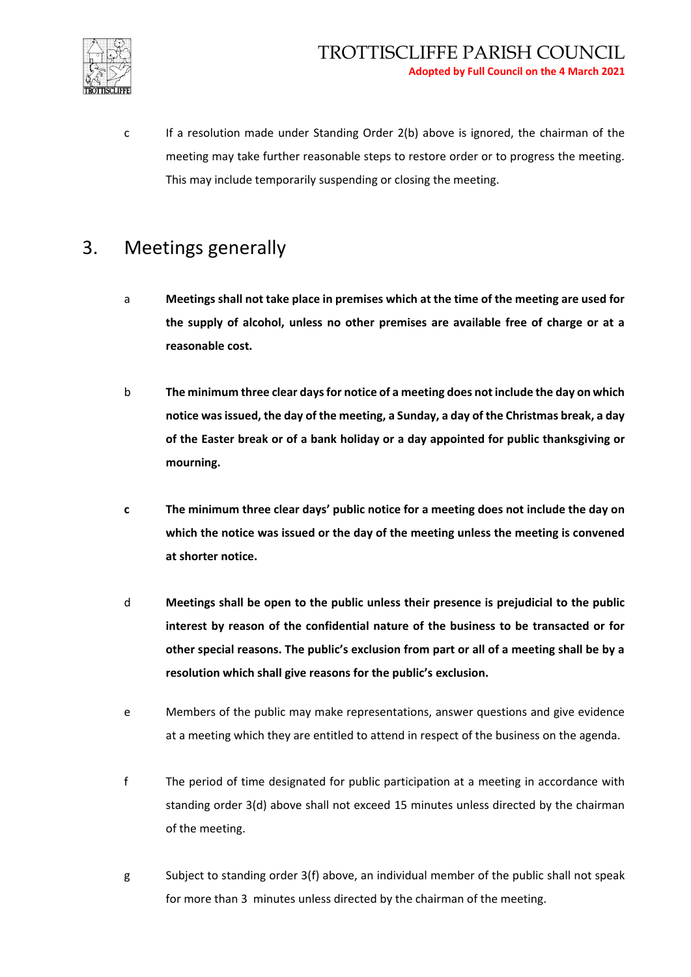

c If a resolution made under Standing Order 2(b) above is ignored, the chairman of the meeting may take further reasonable steps to restore order or to progress the meeting. This may include temporarily suspending or closing the meeting.

#### 3. Meetings generally

- a **Meetings shall not take place in premises which at the time of the meeting are used for the supply of alcohol, unless no other premises are available free of charge or at a reasonable cost.**
- b **The minimum three clear days for notice of a meeting does not include the day on which notice was issued, the day of the meeting, a Sunday, a day of the Christmas break, a day of the Easter break or of a bank holiday or a day appointed for public thanksgiving or mourning.**
- **c The minimum three clear days' public notice for a meeting does not include the day on which the notice was issued or the day of the meeting unless the meeting is convened at shorter notice.**
- d **Meetings shall be open to the public unless their presence is prejudicial to the public interest by reason of the confidential nature of the business to be transacted or for other special reasons. The public's exclusion from part or all of a meeting shall be by a resolution which shall give reasons for the public's exclusion.**
- e Members of the public may make representations, answer questions and give evidence at a meeting which they are entitled to attend in respect of the business on the agenda.
- f The period of time designated for public participation at a meeting in accordance with standing order 3(d) above shall not exceed 15 minutes unless directed by the chairman of the meeting.
- g Subject to standing order 3(f) above, an individual member of the public shall not speak for more than 3 minutes unless directed by the chairman of the meeting.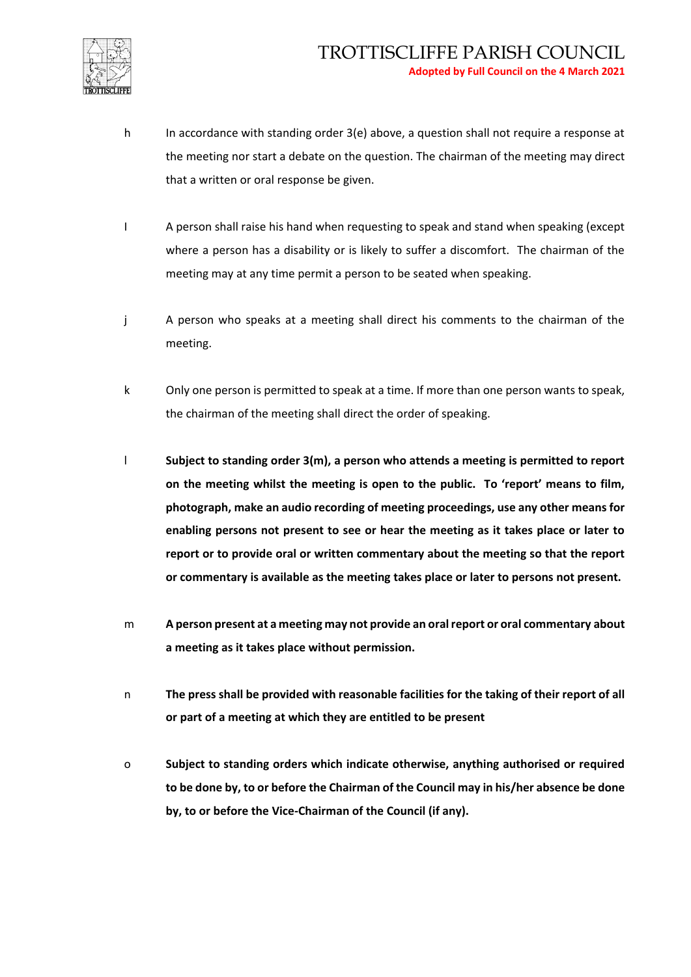

- h In accordance with standing order 3(e) above, a question shall not require a response at the meeting nor start a debate on the question. The chairman of the meeting may direct that a written or oral response be given.
- I A person shall raise his hand when requesting to speak and stand when speaking (except where a person has a disability or is likely to suffer a discomfort. The chairman of the meeting may at any time permit a person to be seated when speaking.
- j A person who speaks at a meeting shall direct his comments to the chairman of the meeting.
- k Only one person is permitted to speak at a time. If more than one person wants to speak, the chairman of the meeting shall direct the order of speaking.
- l **Subject to standing order 3(m), a person who attends a meeting is permitted to report on the meeting whilst the meeting is open to the public. To 'report' means to film, photograph, make an audio recording of meeting proceedings, use any other means for enabling persons not present to see or hear the meeting as it takes place or later to report or to provide oral or written commentary about the meeting so that the report or commentary is available as the meeting takes place or later to persons not present.**
- m **A person present at a meeting may not provide an oral report or oral commentary about a meeting as it takes place without permission.**
- n **The press shall be provided with reasonable facilities for the taking of their report of all or part of a meeting at which they are entitled to be present**
- o **Subject to standing orders which indicate otherwise, anything authorised or required to be done by, to or before the Chairman of the Council may in his/her absence be done by, to or before the Vice-Chairman of the Council (if any).**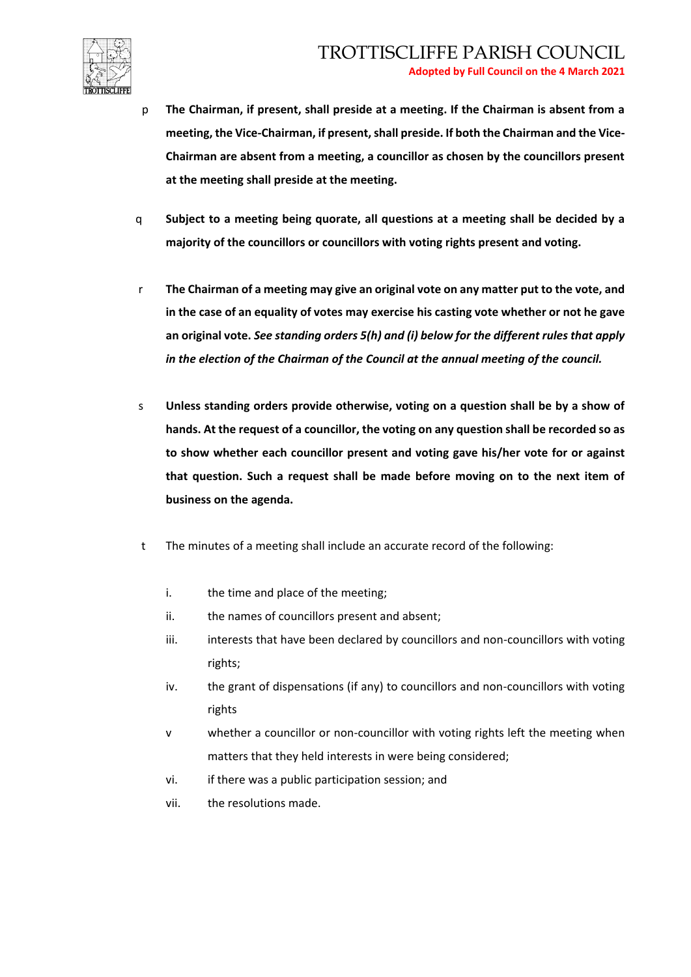

- p **The Chairman, if present, shall preside at a meeting. If the Chairman is absent from a meeting, the Vice-Chairman, if present, shall preside. If both the Chairman and the Vice-Chairman are absent from a meeting, a councillor as chosen by the councillors present at the meeting shall preside at the meeting.**
- q **Subject to a meeting being quorate, all questions at a meeting shall be decided by a majority of the councillors or councillors with voting rights present and voting.**
- r **The Chairman of a meeting may give an original vote on any matter put to the vote, and in the case of an equality of votes may exercise his casting vote whether or not he gave an original vote.** *See standing orders 5(h) and (i) below for the different rules that apply in the election of the Chairman of the Council at the annual meeting of the council.*
- s **Unless standing orders provide otherwise, voting on a question shall be by a show of hands. At the request of a councillor, the voting on any question shall be recorded so as to show whether each councillor present and voting gave his/her vote for or against that question. Such a request shall be made before moving on to the next item of business on the agenda.**
- t The minutes of a meeting shall include an accurate record of the following:
	- i. the time and place of the meeting;
	- ii. the names of councillors present and absent;
	- iii. interests that have been declared by councillors and non-councillors with voting rights;
	- iv. the grant of dispensations (if any) to councillors and non-councillors with voting rights
	- v whether a councillor or non-councillor with voting rights left the meeting when matters that they held interests in were being considered;
	- vi. if there was a public participation session; and
	- vii. the resolutions made.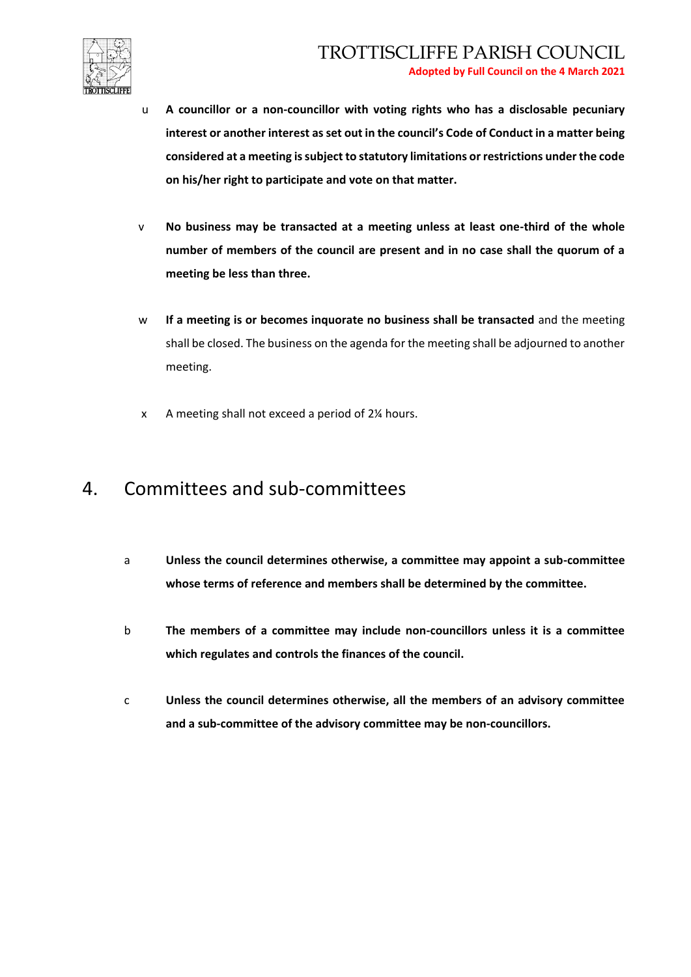

- u **A councillor or a non-councillor with voting rights who has a disclosable pecuniary interest or another interest as set out in the council's Code of Conduct in a matter being considered at a meeting is subject to statutory limitations or restrictions under the code on his/her right to participate and vote on that matter.**
- v **No business may be transacted at a meeting unless at least one-third of the whole number of members of the council are present and in no case shall the quorum of a meeting be less than three.**
- w **If a meeting is or becomes inquorate no business shall be transacted** and the meeting shall be closed. The business on the agenda for the meeting shall be adjourned to another meeting.
- x A meeting shall not exceed a period of 2¼ hours.

#### 4. Committees and sub-committees

- a **Unless the council determines otherwise, a committee may appoint a sub-committee whose terms of reference and members shall be determined by the committee.**
- b **The members of a committee may include non-councillors unless it is a committee which regulates and controls the finances of the council.**
- c **Unless the council determines otherwise, all the members of an advisory committee and a sub-committee of the advisory committee may be non-councillors.**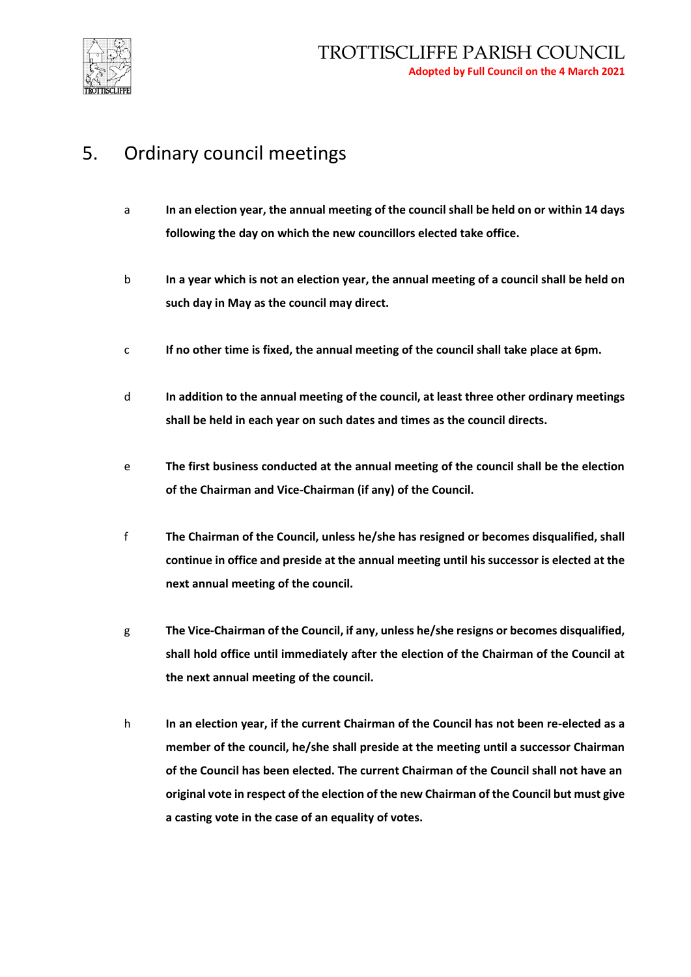

## 5. Ordinary council meetings

- a **In an election year, the annual meeting of the council shall be held on or within 14 days following the day on which the new councillors elected take office.**
- b **In a year which is not an election year, the annual meeting of a council shall be held on such day in May as the council may direct.**
- c **If no other time is fixed, the annual meeting of the council shall take place at 6pm.**
- d **In addition to the annual meeting of the council, at least three other ordinary meetings shall be held in each year on such dates and times as the council directs.**
- e **The first business conducted at the annual meeting of the council shall be the election of the Chairman and Vice-Chairman (if any) of the Council.**
- f **The Chairman of the Council, unless he/she has resigned or becomes disqualified, shall continue in office and preside at the annual meeting until his successor is elected at the next annual meeting of the council.**
- g **The Vice-Chairman of the Council, if any, unless he/she resigns or becomes disqualified, shall hold office until immediately after the election of the Chairman of the Council at the next annual meeting of the council.**
- h **In an election year, if the current Chairman of the Council has not been re-elected as a member of the council, he/she shall preside at the meeting until a successor Chairman of the Council has been elected. The current Chairman of the Council shall not have an original vote in respect of the election of the new Chairman of the Council but must give a casting vote in the case of an equality of votes.**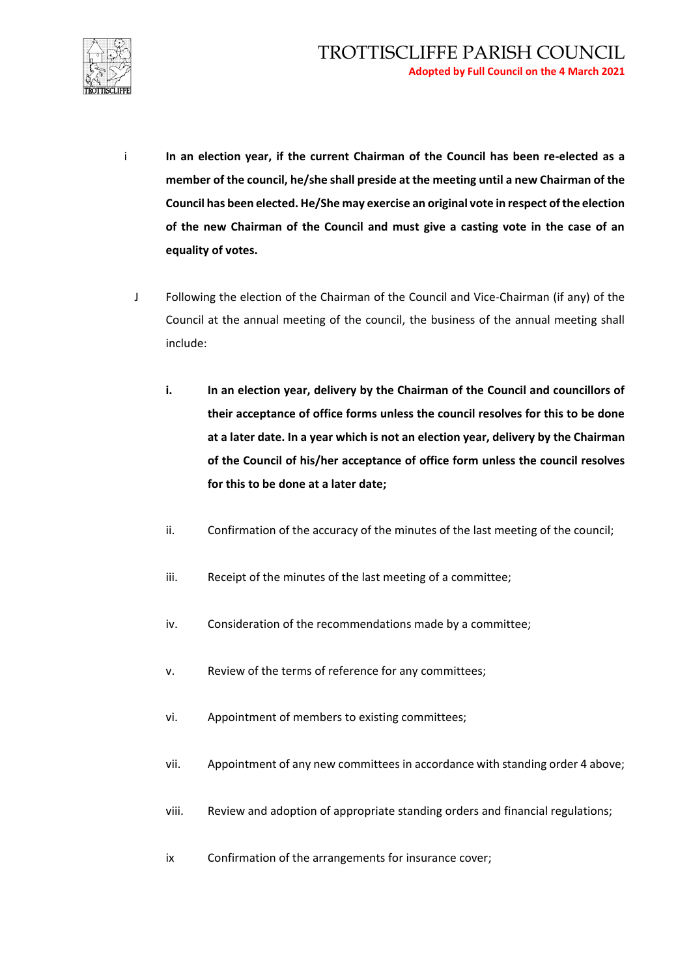

- i **In an election year, if the current Chairman of the Council has been re-elected as a member of the council, he/she shall preside at the meeting until a new Chairman of the Council has been elected. He/She may exercise an original vote in respect of the election of the new Chairman of the Council and must give a casting vote in the case of an equality of votes.**
	- J Following the election of the Chairman of the Council and Vice-Chairman (if any) of the Council at the annual meeting of the council, the business of the annual meeting shall include:
		- **i. In an election year, delivery by the Chairman of the Council and councillors of their acceptance of office forms unless the council resolves for this to be done at a later date. In a year which is not an election year, delivery by the Chairman of the Council of his/her acceptance of office form unless the council resolves for this to be done at a later date;**
		- ii. Confirmation of the accuracy of the minutes of the last meeting of the council;
		- iii. Receipt of the minutes of the last meeting of a committee;
		- iv. Consideration of the recommendations made by a committee;
		- v. Review of the terms of reference for any committees;
		- vi. Appointment of members to existing committees;
		- vii. Appointment of any new committees in accordance with standing order 4 above;
		- viii. Review and adoption of appropriate standing orders and financial regulations;
		- ix Confirmation of the arrangements for insurance cover;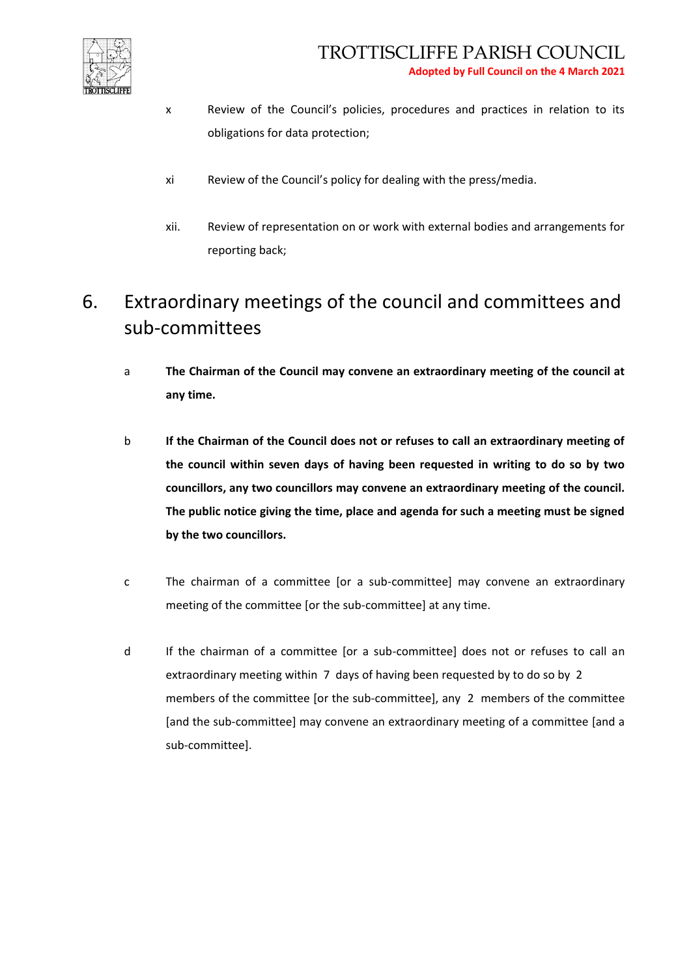

- x Review of the Council's policies, procedures and practices in relation to its obligations for data protection;
- xi Review of the Council's policy for dealing with the press/media.
- xii. Review of representation on or work with external bodies and arrangements for reporting back;

# 6. Extraordinary meetings of the council and committees and sub-committees

- a **The Chairman of the Council may convene an extraordinary meeting of the council at any time.**
- b **If the Chairman of the Council does not or refuses to call an extraordinary meeting of the council within seven days of having been requested in writing to do so by two councillors, any two councillors may convene an extraordinary meeting of the council. The public notice giving the time, place and agenda for such a meeting must be signed by the two councillors.**
- c The chairman of a committee [or a sub-committee] may convene an extraordinary meeting of the committee [or the sub-committee] at any time.
- d If the chairman of a committee [or a sub-committee] does not or refuses to call an extraordinary meeting within 7 days of having been requested by to do so by 2 members of the committee [or the sub-committee], any 2 members of the committee [and the sub-committee] may convene an extraordinary meeting of a committee [and a sub-committee].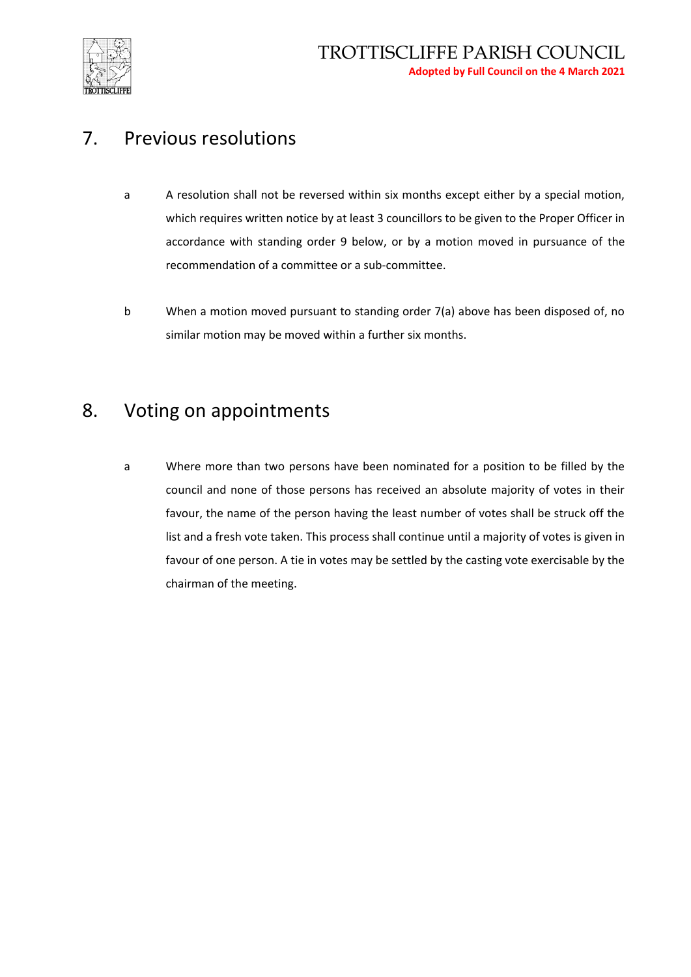

#### 7. Previous resolutions

- a A resolution shall not be reversed within six months except either by a special motion, which requires written notice by at least 3 councillors to be given to the Proper Officer in accordance with standing order 9 below, or by a motion moved in pursuance of the recommendation of a committee or a sub-committee.
- b When a motion moved pursuant to standing order 7(a) above has been disposed of, no similar motion may be moved within a further six months.

#### 8. Voting on appointments

a Where more than two persons have been nominated for a position to be filled by the council and none of those persons has received an absolute majority of votes in their favour, the name of the person having the least number of votes shall be struck off the list and a fresh vote taken. This process shall continue until a majority of votes is given in favour of one person. A tie in votes may be settled by the casting vote exercisable by the chairman of the meeting.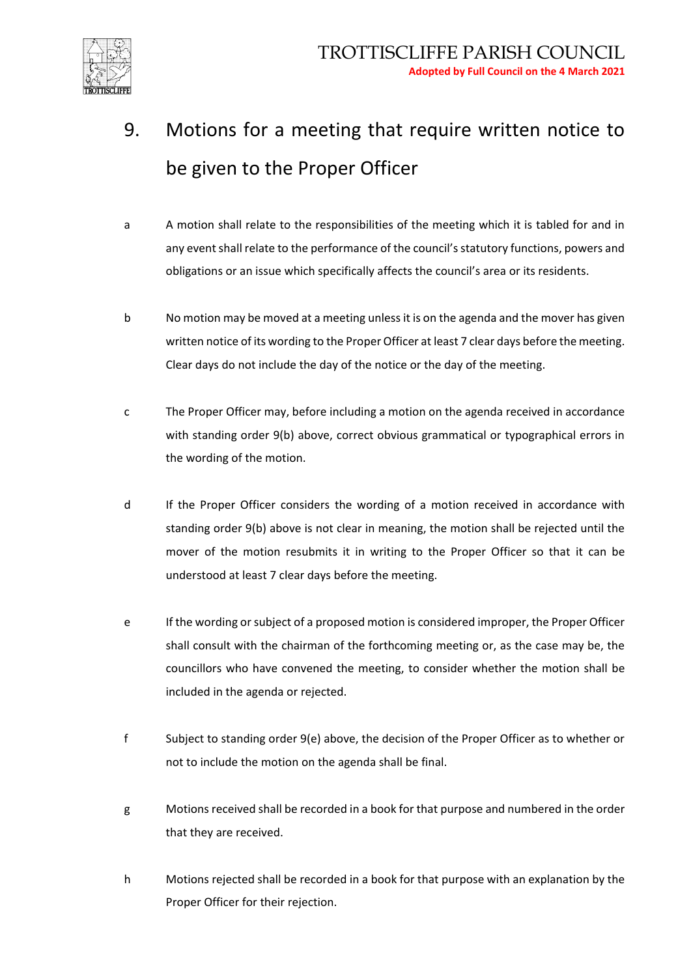

- 9. Motions for a meeting that require written notice to be given to the Proper Officer
- a A motion shall relate to the responsibilities of the meeting which it is tabled for and in any event shall relate to the performance of the council's statutory functions, powers and obligations or an issue which specifically affects the council's area or its residents.
- b No motion may be moved at a meeting unless it is on the agenda and the mover has given written notice of its wording to the Proper Officer at least 7 clear days before the meeting. Clear days do not include the day of the notice or the day of the meeting.
- c The Proper Officer may, before including a motion on the agenda received in accordance with standing order 9(b) above, correct obvious grammatical or typographical errors in the wording of the motion.
- d If the Proper Officer considers the wording of a motion received in accordance with standing order 9(b) above is not clear in meaning, the motion shall be rejected until the mover of the motion resubmits it in writing to the Proper Officer so that it can be understood at least 7 clear days before the meeting.
- e If the wording or subject of a proposed motion is considered improper, the Proper Officer shall consult with the chairman of the forthcoming meeting or, as the case may be, the councillors who have convened the meeting, to consider whether the motion shall be included in the agenda or rejected.
- f Subject to standing order 9(e) above, the decision of the Proper Officer as to whether or not to include the motion on the agenda shall be final.
- g Motions received shall be recorded in a book for that purpose and numbered in the order that they are received.
- h Motions rejected shall be recorded in a book for that purpose with an explanation by the Proper Officer for their rejection.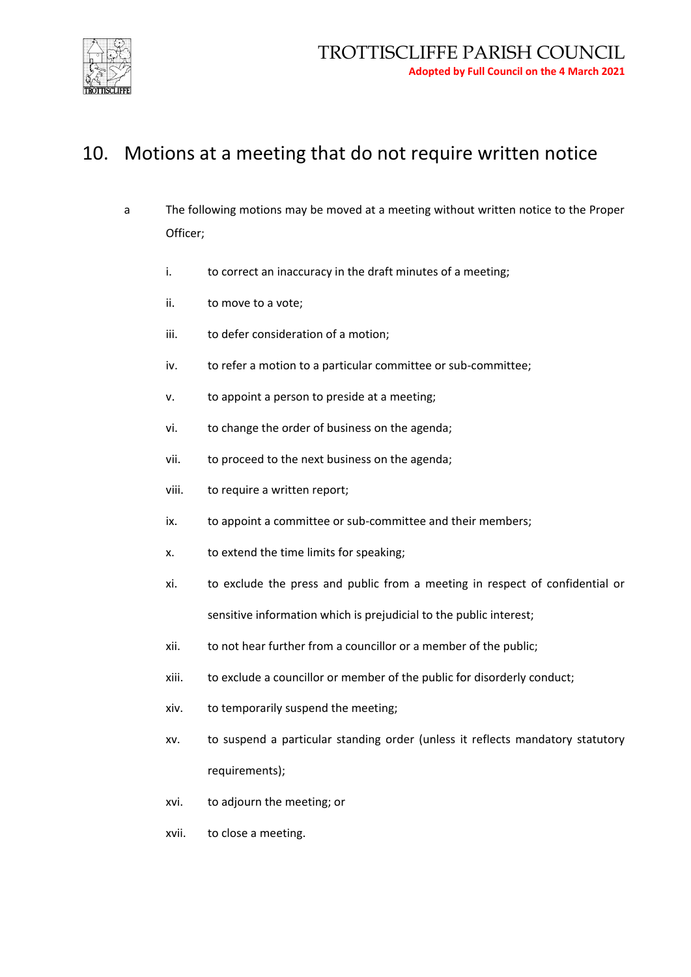

## 10. Motions at a meeting that do not require written notice

- a The following motions may be moved at a meeting without written notice to the Proper Officer;
	- i. to correct an inaccuracy in the draft minutes of a meeting;
	- ii. to move to a vote;
	- iii. to defer consideration of a motion;
	- iv. to refer a motion to a particular committee or sub-committee;
	- v. to appoint a person to preside at a meeting;
	- vi. to change the order of business on the agenda;
	- vii. to proceed to the next business on the agenda;
	- viii. to require a written report;
	- ix. to appoint a committee or sub-committee and their members;
	- x. to extend the time limits for speaking;
	- xi. to exclude the press and public from a meeting in respect of confidential or sensitive information which is prejudicial to the public interest;
	- xii. to not hear further from a councillor or a member of the public;
	- xiii. to exclude a councillor or member of the public for disorderly conduct;
	- xiv. to temporarily suspend the meeting;
	- xv. to suspend a particular standing order (unless it reflects mandatory statutory requirements);
	- xvi. to adjourn the meeting; or
	- xvii. to close a meeting.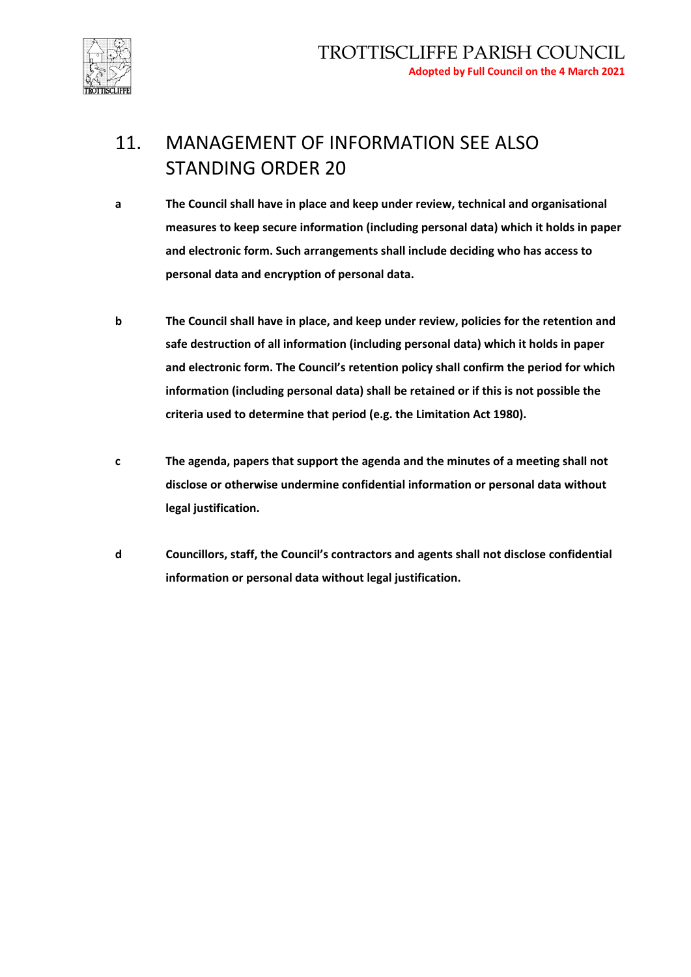

# 11. MANAGEMENT OF INFORMATION SEE ALSO STANDING ORDER 20

- **a The Council shall have in place and keep under review, technical and organisational measures to keep secure information (including personal data) which it holds in paper and electronic form. Such arrangements shall include deciding who has access to personal data and encryption of personal data.**
- **b The Council shall have in place, and keep under review, policies for the retention and safe destruction of all information (including personal data) which it holds in paper and electronic form. The Council's retention policy shall confirm the period for which information (including personal data) shall be retained or if this is not possible the criteria used to determine that period (e.g. the Limitation Act 1980).**
- **c The agenda, papers that support the agenda and the minutes of a meeting shall not disclose or otherwise undermine confidential information or personal data without legal justification.**
- **d Councillors, staff, the Council's contractors and agents shall not disclose confidential information or personal data without legal justification.**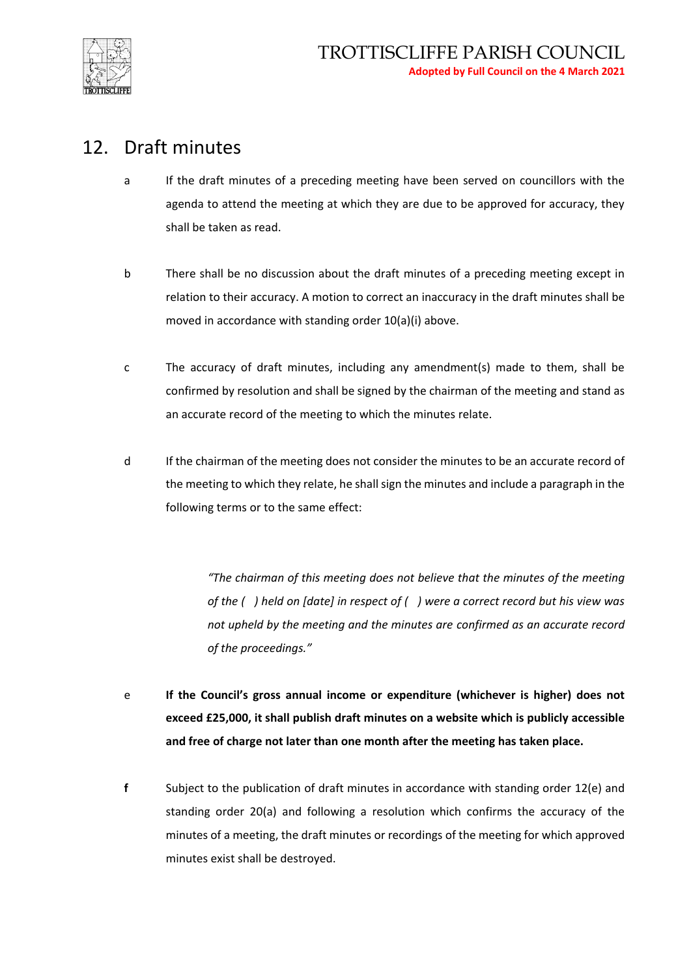

#### 12. Draft minutes

- a If the draft minutes of a preceding meeting have been served on councillors with the agenda to attend the meeting at which they are due to be approved for accuracy, they shall be taken as read.
- b There shall be no discussion about the draft minutes of a preceding meeting except in relation to their accuracy. A motion to correct an inaccuracy in the draft minutes shall be moved in accordance with standing order 10(a)(i) above.
- c The accuracy of draft minutes, including any amendment(s) made to them, shall be confirmed by resolution and shall be signed by the chairman of the meeting and stand as an accurate record of the meeting to which the minutes relate.
- d If the chairman of the meeting does not consider the minutes to be an accurate record of the meeting to which they relate, he shall sign the minutes and include a paragraph in the following terms or to the same effect:

*"The chairman of this meeting does not believe that the minutes of the meeting of the ( ) held on [date] in respect of ( ) were a correct record but his view was not upheld by the meeting and the minutes are confirmed as an accurate record of the proceedings."*

- e **If the Council's gross annual income or expenditure (whichever is higher) does not exceed £25,000, it shall publish draft minutes on a website which is publicly accessible and free of charge not later than one month after the meeting has taken place.**
- **f** Subject to the publication of draft minutes in accordance with standing order 12(e) and standing order 20(a) and following a resolution which confirms the accuracy of the minutes of a meeting, the draft minutes or recordings of the meeting for which approved minutes exist shall be destroyed.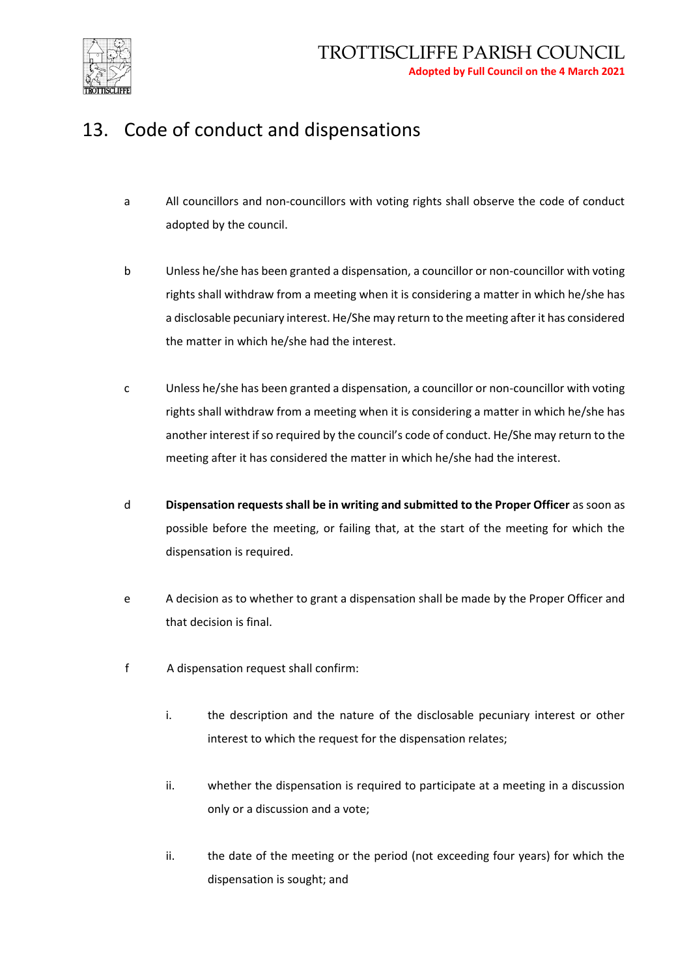

# 13. Code of conduct and dispensations

- a All councillors and non-councillors with voting rights shall observe the code of conduct adopted by the council.
- b Unless he/she has been granted a dispensation, a councillor or non-councillor with voting rights shall withdraw from a meeting when it is considering a matter in which he/she has a disclosable pecuniary interest. He/She may return to the meeting after it has considered the matter in which he/she had the interest.
- c Unless he/she has been granted a dispensation, a councillor or non-councillor with voting rights shall withdraw from a meeting when it is considering a matter in which he/she has another interest if so required by the council's code of conduct. He/She may return to the meeting after it has considered the matter in which he/she had the interest.
- d **Dispensation requests shall be in writing and submitted to the Proper Officer** as soon as possible before the meeting, or failing that, at the start of the meeting for which the dispensation is required.
- e A decision as to whether to grant a dispensation shall be made by the Proper Officer and that decision is final.
- f A dispensation request shall confirm:
	- i. the description and the nature of the disclosable pecuniary interest or other interest to which the request for the dispensation relates;
	- ii. whether the dispensation is required to participate at a meeting in a discussion only or a discussion and a vote;
	- ii. the date of the meeting or the period (not exceeding four years) for which the dispensation is sought; and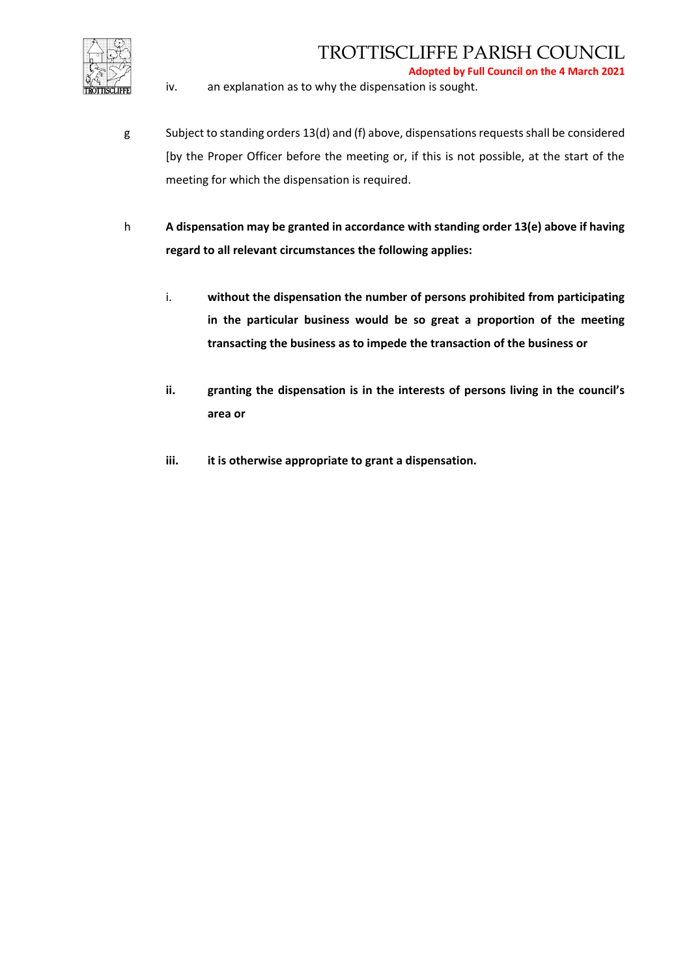

**Adopted by Full Council on the 4 March 2021**

iv. an explanation as to why the dispensation is sought.

- g Subject to standing orders 13(d) and (f) above, dispensations requests shall be considered [by the Proper Officer before the meeting or, if this is not possible, at the start of the meeting for which the dispensation is required.
- h **A dispensation may be granted in accordance with standing order 13(e) above if having regard to all relevant circumstances the following applies:**
	- i. **without the dispensation the number of persons prohibited from participating in the particular business would be so great a proportion of the meeting transacting the business as to impede the transaction of the business or**
	- **ii. granting the dispensation is in the interests of persons living in the council's area or**
	- **iii. it is otherwise appropriate to grant a dispensation.**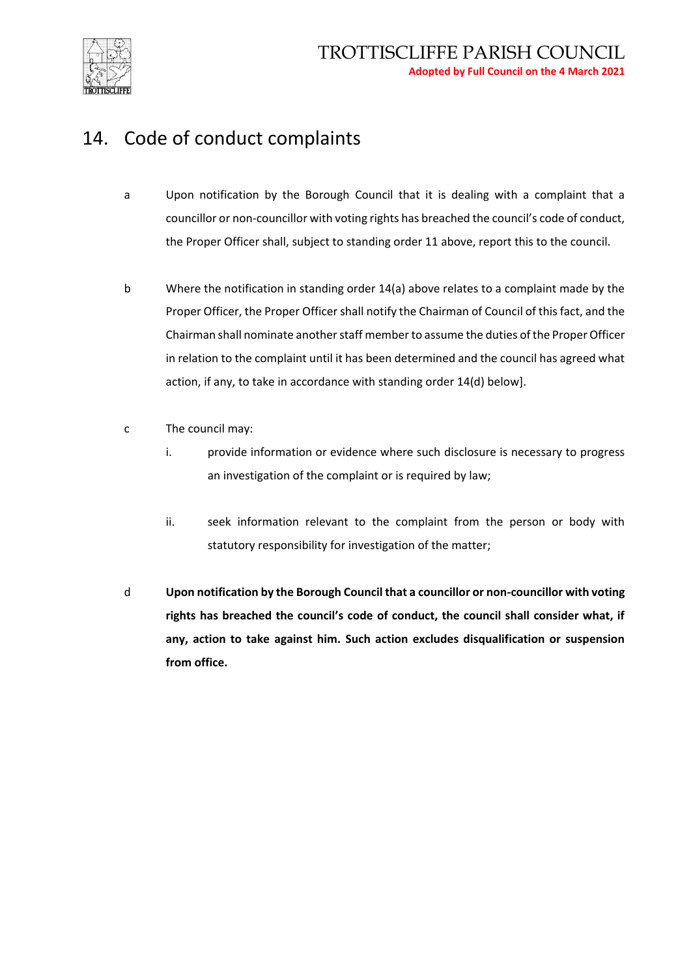

## 14. Code of conduct complaints

- a Upon notification by the Borough Council that it is dealing with a complaint that a councillor or non-councillor with voting rights has breached the council's code of conduct, the Proper Officer shall, subject to standing order 11 above, report this to the council.
- b Where the notification in standing order 14(a) above relates to a complaint made by the Proper Officer, the Proper Officer shall notify the Chairman of Council of this fact, and the Chairman shall nominate another staff member to assume the duties of the Proper Officer in relation to the complaint until it has been determined and the council has agreed what action, if any, to take in accordance with standing order 14(d) below].
- c The council may:
	- i. provide information or evidence where such disclosure is necessary to progress an investigation of the complaint or is required by law;
	- ii. seek information relevant to the complaint from the person or body with statutory responsibility for investigation of the matter;
- d **Upon notification by the Borough Council that a councillor or non-councillor with voting rights has breached the council's code of conduct, the council shall consider what, if any, action to take against him. Such action excludes disqualification or suspension from office.**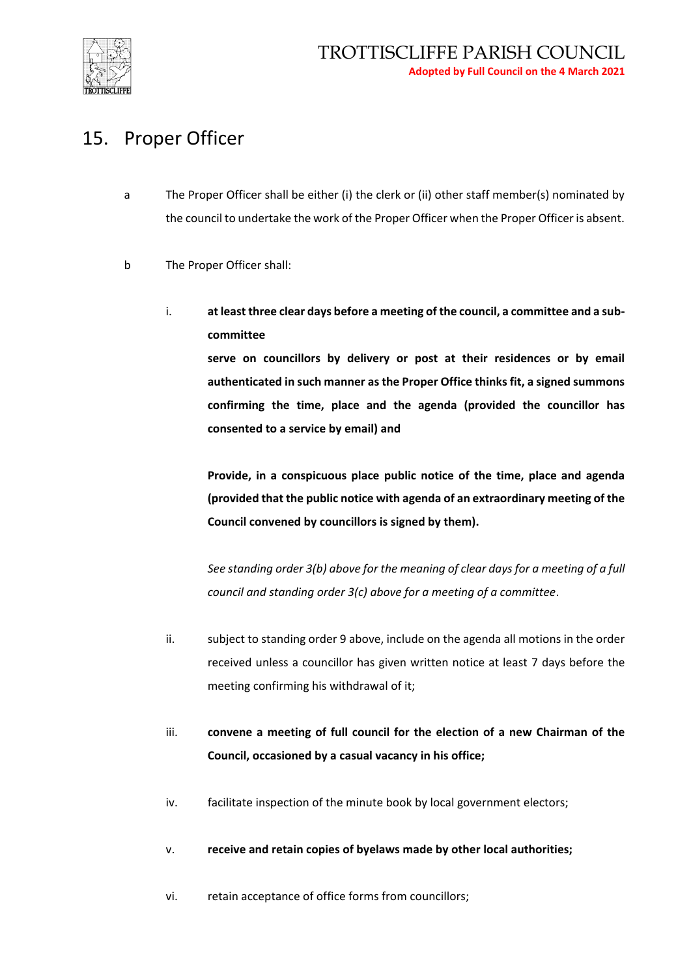

#### 15. Proper Officer

- a The Proper Officer shall be either (i) the clerk or (ii) other staff member(s) nominated by the council to undertake the work of the Proper Officer when the Proper Officer is absent.
- b The Proper Officer shall:
	- i. **at least three clear days before a meeting of the council, a committee and a subcommittee**

**serve on councillors by delivery or post at their residences or by email authenticated in such manner as the Proper Office thinks fit, a signed summons confirming the time, place and the agenda (provided the councillor has consented to a service by email) and**

**Provide, in a conspicuous place public notice of the time, place and agenda (provided that the public notice with agenda of an extraordinary meeting of the Council convened by councillors is signed by them).**

*See standing order 3(b) above for the meaning of clear days for a meeting of a full council and standing order 3(c) above for a meeting of a committee*.

- ii. subject to standing order 9 above, include on the agenda all motions in the order received unless a councillor has given written notice at least 7 days before the meeting confirming his withdrawal of it;
- iii. **convene a meeting of full council for the election of a new Chairman of the Council, occasioned by a casual vacancy in his office;**
- iv. facilitate inspection of the minute book by local government electors;
- v. **receive and retain copies of byelaws made by other local authorities;**
- vi. retain acceptance of office forms from councillors;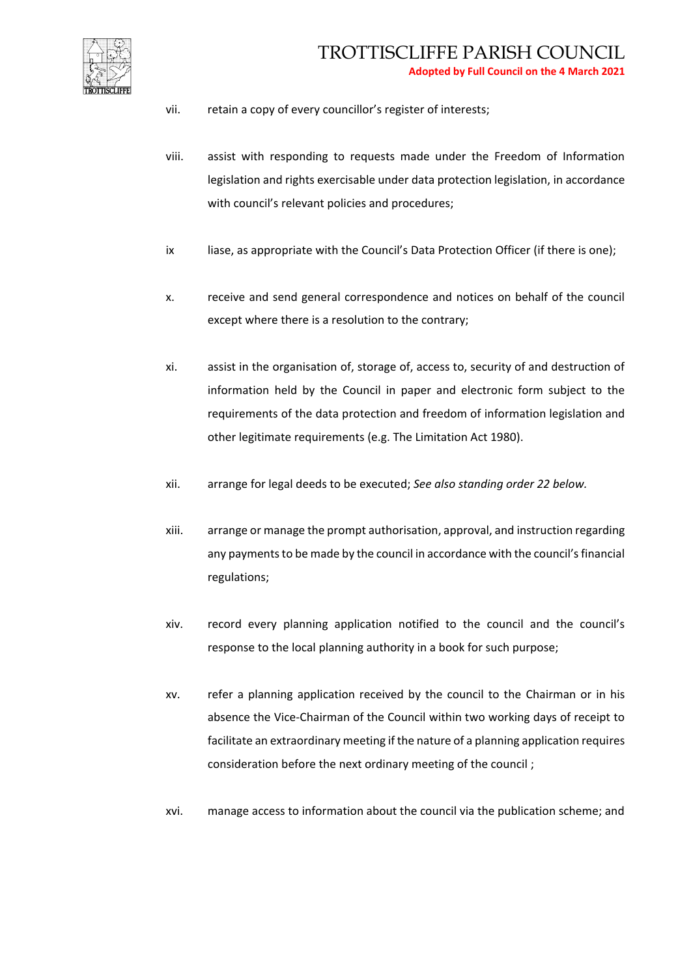

- vii. retain a copy of every councillor's register of interests;
- viii. assist with responding to requests made under the Freedom of Information legislation and rights exercisable under data protection legislation, in accordance with council's relevant policies and procedures;
- ix liase, as appropriate with the Council's Data Protection Officer (if there is one);
- x. receive and send general correspondence and notices on behalf of the council except where there is a resolution to the contrary;
- xi. assist in the organisation of, storage of, access to, security of and destruction of information held by the Council in paper and electronic form subject to the requirements of the data protection and freedom of information legislation and other legitimate requirements (e.g. The Limitation Act 1980).
- xii. arrange for legal deeds to be executed; *See also standing order 22 below.*
- xiii. arrange or manage the prompt authorisation, approval, and instruction regarding any payments to be made by the council in accordance with the council's financial regulations;
- xiv. record every planning application notified to the council and the council's response to the local planning authority in a book for such purpose;
- xv. refer a planning application received by the council to the Chairman or in his absence the Vice-Chairman of the Council within two working days of receipt to facilitate an extraordinary meeting if the nature of a planning application requires consideration before the next ordinary meeting of the council ;
- xvi. manage access to information about the council via the publication scheme; and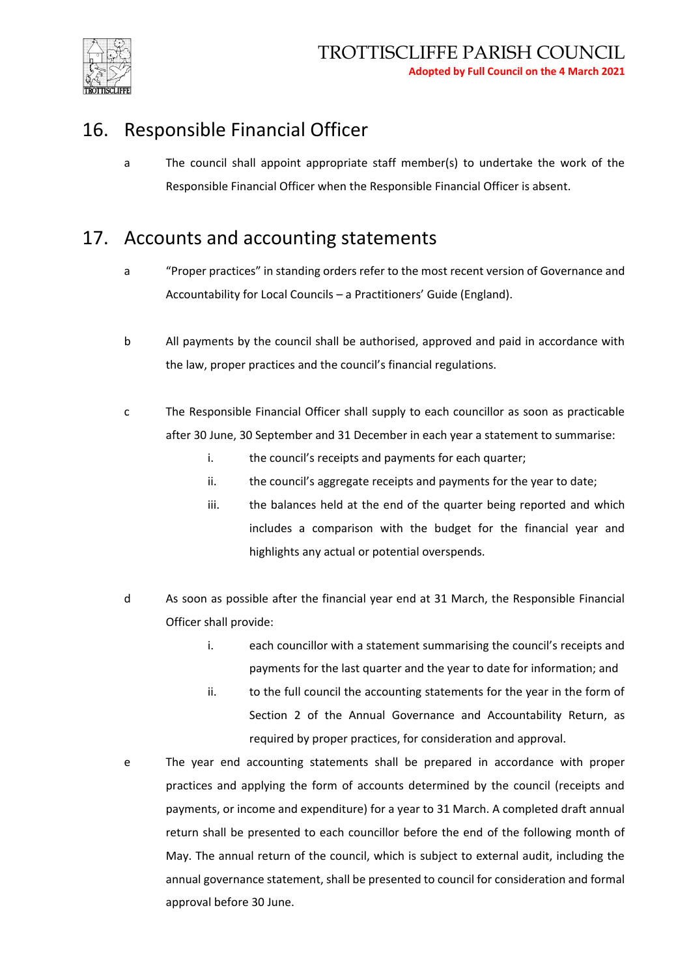

## 16. Responsible Financial Officer

a The council shall appoint appropriate staff member(s) to undertake the work of the Responsible Financial Officer when the Responsible Financial Officer is absent.

## 17. Accounts and accounting statements

- a "Proper practices" in standing orders refer to the most recent version of Governance and Accountability for Local Councils – a Practitioners' Guide (England).
- b All payments by the council shall be authorised, approved and paid in accordance with the law, proper practices and the council's financial regulations.
- c The Responsible Financial Officer shall supply to each councillor as soon as practicable after 30 June, 30 September and 31 December in each year a statement to summarise:
	- i. the council's receipts and payments for each quarter;
	- ii. the council's aggregate receipts and payments for the year to date;
	- iii. the balances held at the end of the quarter being reported and which includes a comparison with the budget for the financial year and highlights any actual or potential overspends.
- d As soon as possible after the financial year end at 31 March, the Responsible Financial Officer shall provide:
	- i. each councillor with a statement summarising the council's receipts and payments for the last quarter and the year to date for information; and
	- ii. to the full council the accounting statements for the year in the form of Section 2 of the Annual Governance and Accountability Return, as required by proper practices, for consideration and approval.
- e The year end accounting statements shall be prepared in accordance with proper practices and applying the form of accounts determined by the council (receipts and payments, or income and expenditure) for a year to 31 March. A completed draft annual return shall be presented to each councillor before the end of the following month of May. The annual return of the council, which is subject to external audit, including the annual governance statement, shall be presented to council for consideration and formal approval before 30 June.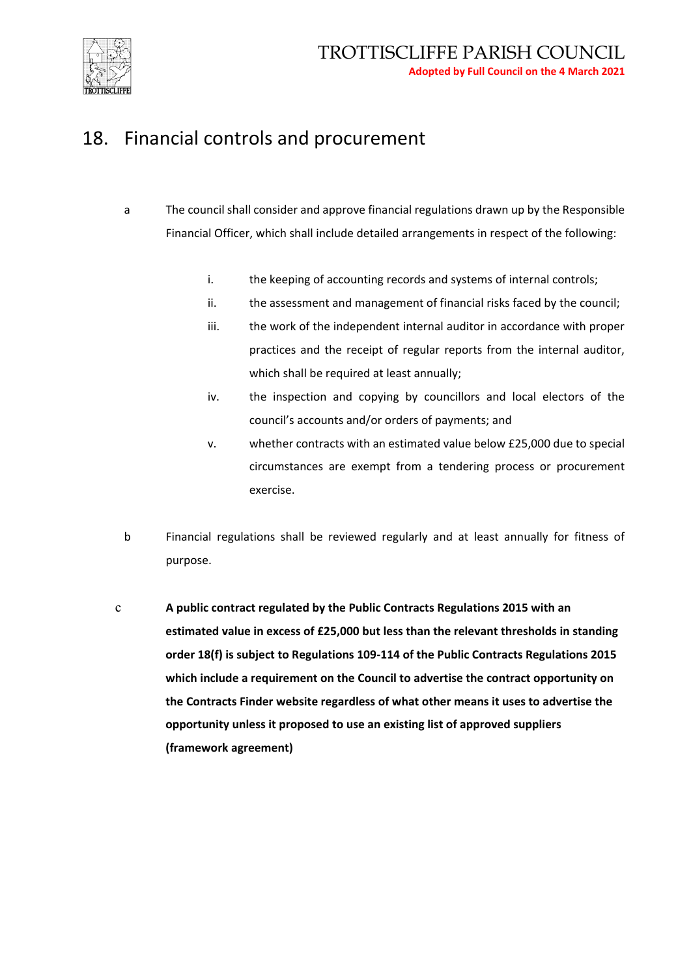

## 18. Financial controls and procurement

- a The council shall consider and approve financial regulations drawn up by the Responsible Financial Officer, which shall include detailed arrangements in respect of the following:
	- i. the keeping of accounting records and systems of internal controls;
	- ii. the assessment and management of financial risks faced by the council;
	- iii. the work of the independent internal auditor in accordance with proper practices and the receipt of regular reports from the internal auditor, which shall be required at least annually;
	- iv. the inspection and copying by councillors and local electors of the council's accounts and/or orders of payments; and
	- v. whether contracts with an estimated value below £25,000 due to special circumstances are exempt from a tendering process or procurement exercise.
- b Financial regulations shall be reviewed regularly and at least annually for fitness of purpose.
- c **A public contract regulated by the Public Contracts Regulations 2015 with an estimated value in excess of £25,000 but less than the relevant thresholds in standing order 18(f) is subject to Regulations 109-114 of the Public Contracts Regulations 2015 which include a requirement on the Council to advertise the contract opportunity on the Contracts Finder website regardless of what other means it uses to advertise the opportunity unless it proposed to use an existing list of approved suppliers (framework agreement)**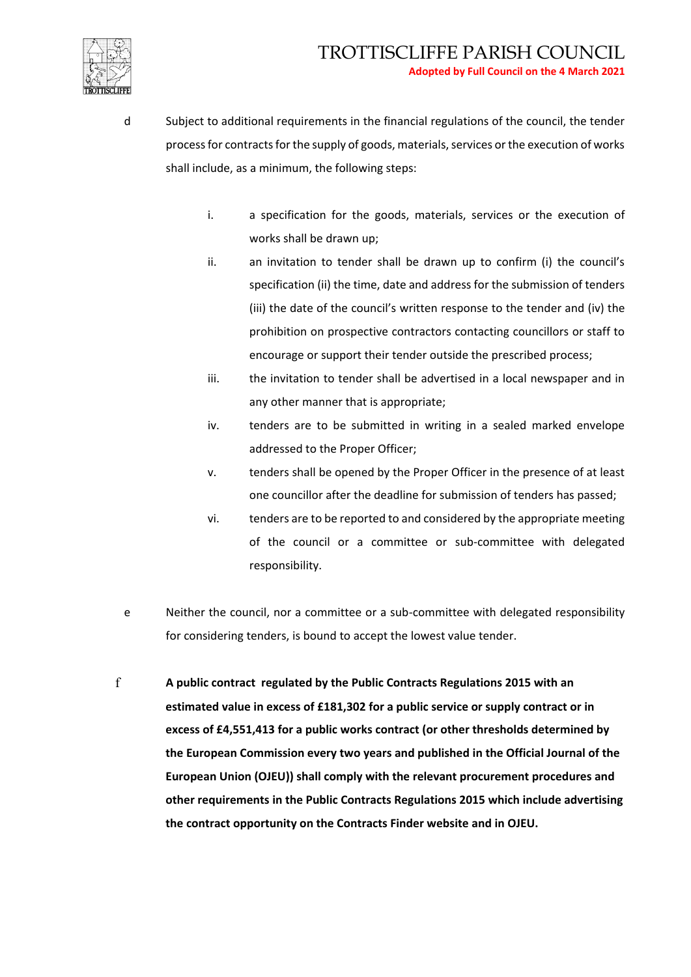

- d Subject to additional requirements in the financial regulations of the council, the tender process for contracts for the supply of goods, materials, services or the execution of works shall include, as a minimum, the following steps:
	- i. a specification for the goods, materials, services or the execution of works shall be drawn up;
	- ii. an invitation to tender shall be drawn up to confirm (i) the council's specification (ii) the time, date and address for the submission of tenders (iii) the date of the council's written response to the tender and (iv) the prohibition on prospective contractors contacting councillors or staff to encourage or support their tender outside the prescribed process;
	- iii. the invitation to tender shall be advertised in a local newspaper and in any other manner that is appropriate;
	- iv. tenders are to be submitted in writing in a sealed marked envelope addressed to the Proper Officer;
	- v. tenders shall be opened by the Proper Officer in the presence of at least one councillor after the deadline for submission of tenders has passed;
	- vi. tenders are to be reported to and considered by the appropriate meeting of the council or a committee or sub-committee with delegated responsibility.
- e Neither the council, nor a committee or a sub-committee with delegated responsibility for considering tenders, is bound to accept the lowest value tender.
- f **A public contract regulated by the Public Contracts Regulations 2015 with an estimated value in excess of £181,302 for a public service or supply contract or in excess of £4,551,413 for a public works contract (or other thresholds determined by the European Commission every two years and published in the Official Journal of the European Union (OJEU)) shall comply with the relevant procurement procedures and other requirements in the Public Contracts Regulations 2015 which include advertising the contract opportunity on the Contracts Finder website and in OJEU.**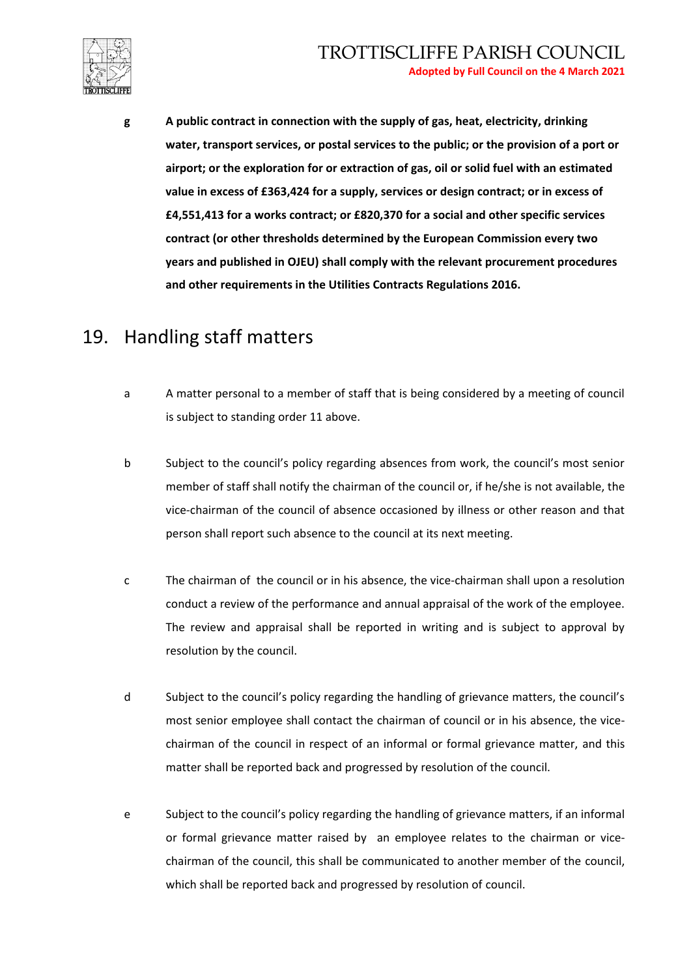

**g A public contract in connection with the supply of gas, heat, electricity, drinking water, transport services, or postal services to the public; or the provision of a port or airport; or the exploration for or extraction of gas, oil or solid fuel with an estimated value in excess of £363,424 for a supply, services or design contract; or in excess of £4,551,413 for a works contract; or £820,370 for a social and other specific services contract (or other thresholds determined by the European Commission every two years and published in OJEU) shall comply with the relevant procurement procedures and other requirements in the Utilities Contracts Regulations 2016.**

## 19. Handling staff matters

- a A matter personal to a member of staff that is being considered by a meeting of council is subject to standing order 11 above.
- b Subject to the council's policy regarding absences from work, the council's most senior member of staff shall notify the chairman of the council or, if he/she is not available, the vice-chairman of the council of absence occasioned by illness or other reason and that person shall report such absence to the council at its next meeting.
- c The chairman of the council or in his absence, the vice-chairman shall upon a resolution conduct a review of the performance and annual appraisal of the work of the employee. The review and appraisal shall be reported in writing and is subject to approval by resolution by the council.
- d Subject to the council's policy regarding the handling of grievance matters, the council's most senior employee shall contact the chairman of council or in his absence, the vicechairman of the council in respect of an informal or formal grievance matter, and this matter shall be reported back and progressed by resolution of the council.
- e Subject to the council's policy regarding the handling of grievance matters, if an informal or formal grievance matter raised by an employee relates to the chairman or vicechairman of the council, this shall be communicated to another member of the council, which shall be reported back and progressed by resolution of council.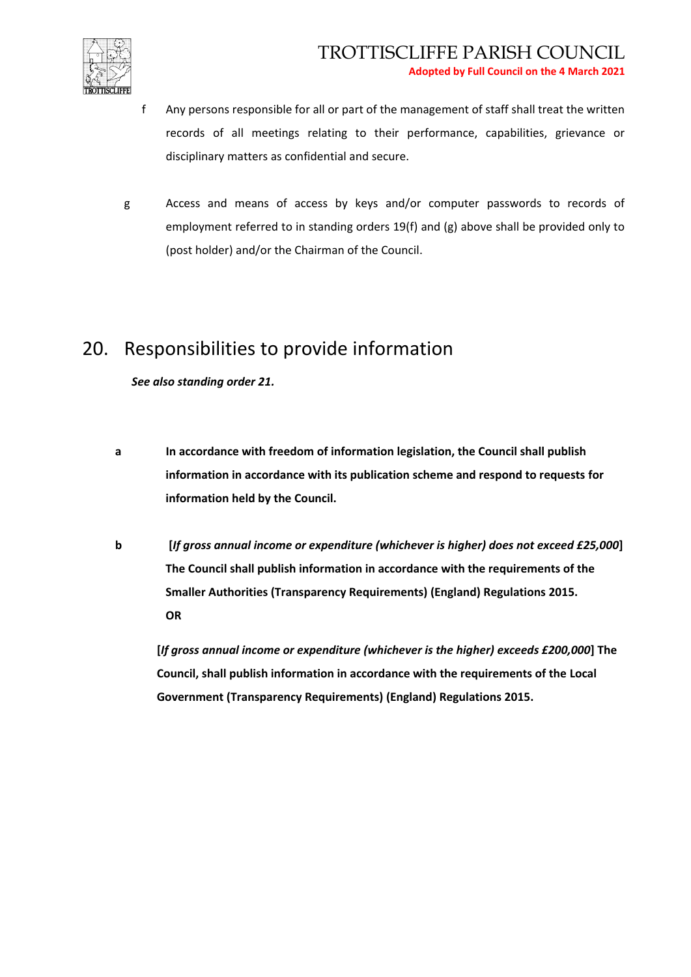

- f Any persons responsible for all or part of the management of staff shall treat the written records of all meetings relating to their performance, capabilities, grievance or disciplinary matters as confidential and secure.
- g Access and means of access by keys and/or computer passwords to records of employment referred to in standing orders 19(f) and (g) above shall be provided only to (post holder) and/or the Chairman of the Council.

## 20. Responsibilities to provide information

*See also standing order 21.*

- **a In accordance with freedom of information legislation, the Council shall publish information in accordance with its publication scheme and respond to requests for information held by the Council.**
- **b [***If gross annual income or expenditure (whichever is higher) does not exceed £25,000***] The Council shall publish information in accordance with the requirements of the Smaller Authorities (Transparency Requirements) (England) Regulations 2015. OR**

**[***If gross annual income or expenditure (whichever is the higher) exceeds £200,000***] The Council, shall publish information in accordance with the requirements of the Local Government (Transparency Requirements) (England) Regulations 2015.**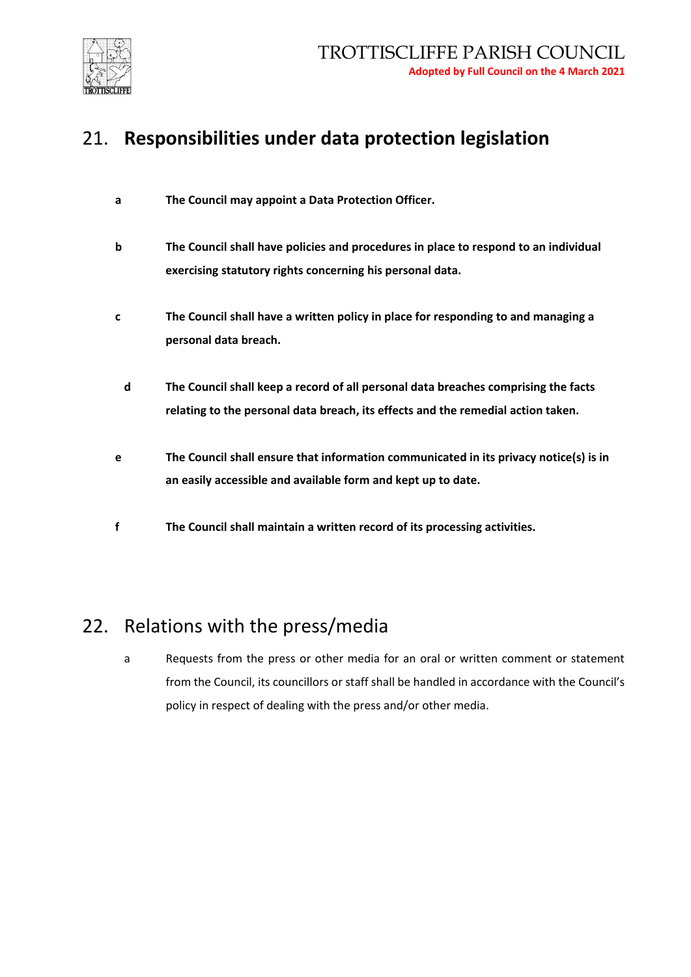

## 21. **Responsibilities under data protection legislation**

- **a The Council may appoint a Data Protection Officer.**
- **b The Council shall have policies and procedures in place to respond to an individual exercising statutory rights concerning his personal data.**
- **c The Council shall have a written policy in place for responding to and managing a personal data breach.**
	- **d The Council shall keep a record of all personal data breaches comprising the facts relating to the personal data breach, its effects and the remedial action taken.**
- **e The Council shall ensure that information communicated in its privacy notice(s) is in an easily accessible and available form and kept up to date.**
- **f The Council shall maintain a written record of its processing activities.**

#### 22. Relations with the press/media

a Requests from the press or other media for an oral or written comment or statement from the Council, its councillors or staff shall be handled in accordance with the Council's policy in respect of dealing with the press and/or other media.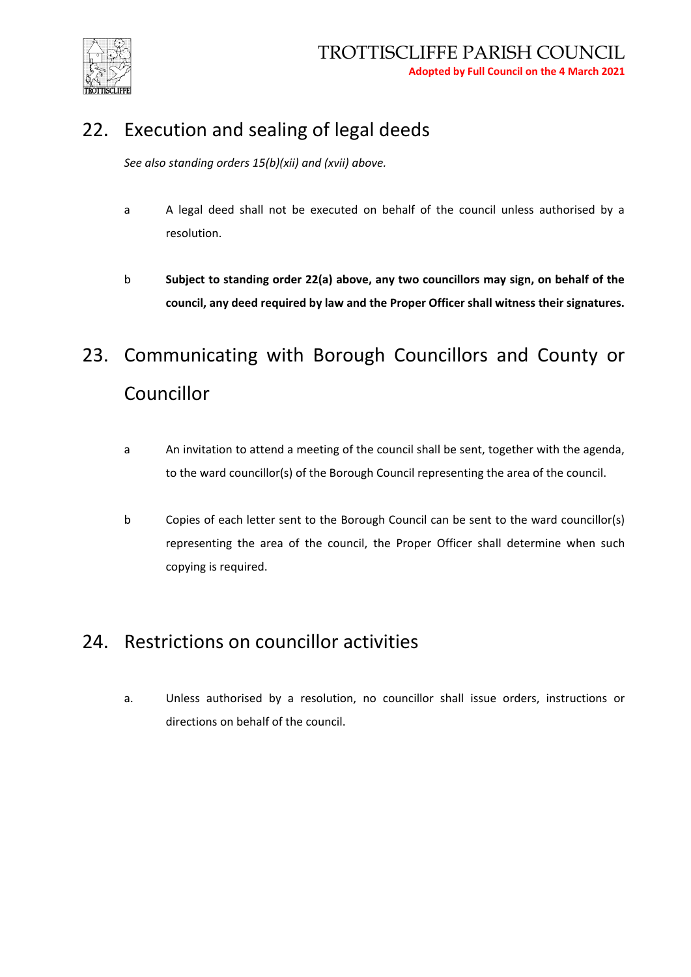

# 22. Execution and sealing of legal deeds

*See also standing orders 15(b)(xii) and (xvii) above.*

- a A legal deed shall not be executed on behalf of the council unless authorised by a resolution.
- b **Subject to standing order 22(a) above, any two councillors may sign, on behalf of the council, any deed required by law and the Proper Officer shall witness their signatures.**

# 23. Communicating with Borough Councillors and County or Councillor

- a An invitation to attend a meeting of the council shall be sent, together with the agenda, to the ward councillor(s) of the Borough Council representing the area of the council.
- b Copies of each letter sent to the Borough Council can be sent to the ward councillor(s) representing the area of the council, the Proper Officer shall determine when such copying is required.

#### 24. Restrictions on councillor activities

a. Unless authorised by a resolution, no councillor shall issue orders, instructions or directions on behalf of the council.